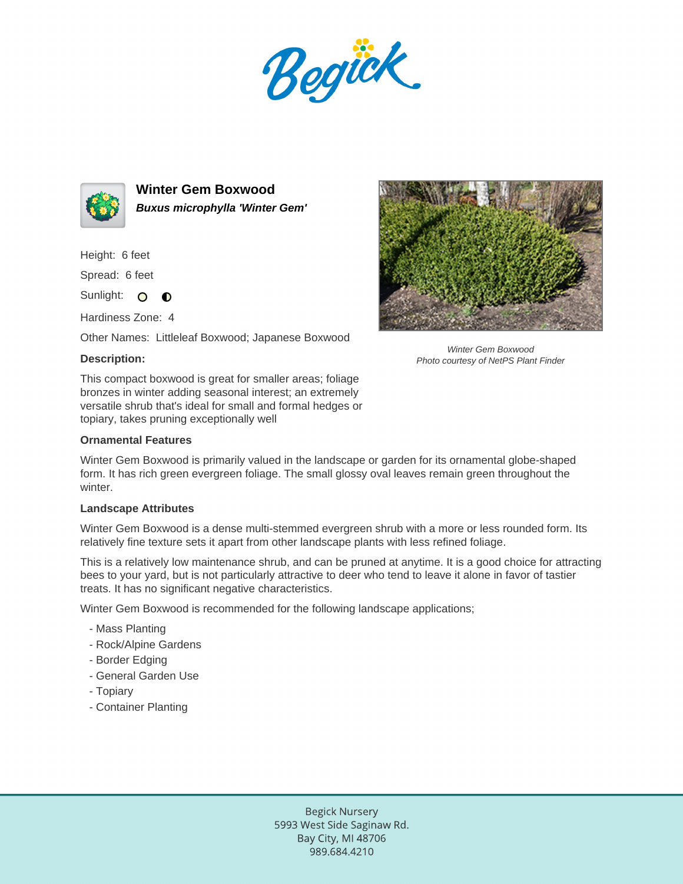Begück.



**Winter Gem Boxwood Buxus microphylla 'Winter Gem'**

Height: 6 feet

Spread: 6 feet

Sunlight: O **O** 

Hardiness Zone: 4

Other Names: Littleleaf Boxwood; Japanese Boxwood

## **Description:**

This compact boxwood is great for smaller areas; foliage bronzes in winter adding seasonal interest; an extremely versatile shrub that's ideal for small and formal hedges or topiary, takes pruning exceptionally well

## **Ornamental Features**

Winter Gem Boxwood is primarily valued in the landscape or garden for its ornamental globe-shaped form. It has rich green evergreen foliage. The small glossy oval leaves remain green throughout the winter.

## **Landscape Attributes**

Winter Gem Boxwood is a dense multi-stemmed evergreen shrub with a more or less rounded form. Its relatively fine texture sets it apart from other landscape plants with less refined foliage.

This is a relatively low maintenance shrub, and can be pruned at anytime. It is a good choice for attracting bees to your yard, but is not particularly attractive to deer who tend to leave it alone in favor of tastier treats. It has no significant negative characteristics.

Winter Gem Boxwood is recommended for the following landscape applications;

- Mass Planting
- Rock/Alpine Gardens
- Border Edging
- General Garden Use
- Topiary
- Container Planting



Winter Gem Boxwood Photo courtesy of NetPS Plant Finder

Begick Nursery 5993 West Side Saginaw Rd. Bay City, MI 48706 989.684.4210